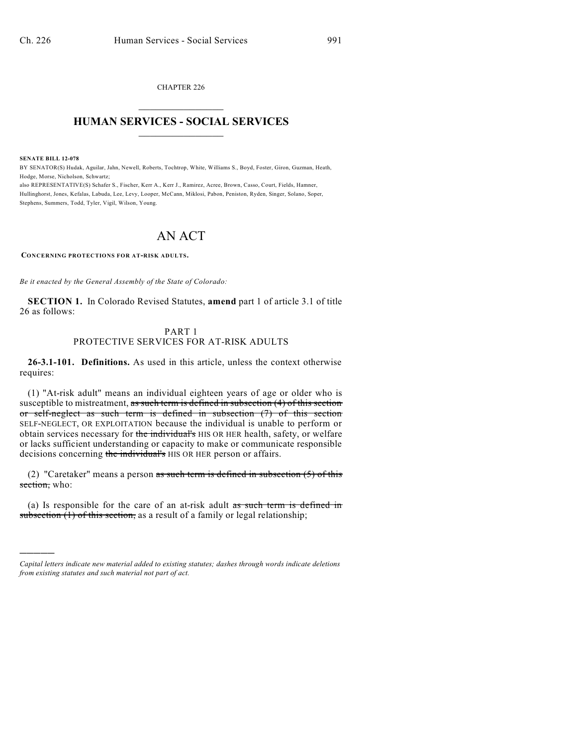CHAPTER 226  $\mathcal{L}_\text{max}$  . The set of the set of the set of the set of the set of the set of the set of the set of the set of the set of the set of the set of the set of the set of the set of the set of the set of the set of the set

## **HUMAN SERVICES - SOCIAL SERVICES**  $\frac{1}{2}$  ,  $\frac{1}{2}$  ,  $\frac{1}{2}$  ,  $\frac{1}{2}$  ,  $\frac{1}{2}$  ,  $\frac{1}{2}$

**SENATE BILL 12-078**

)))))

BY SENATOR(S) Hudak, Aguilar, Jahn, Newell, Roberts, Tochtrop, White, Williams S., Boyd, Foster, Giron, Guzman, Heath, Hodge, Morse, Nicholson, Schwartz;

also REPRESENTATIVE(S) Schafer S., Fischer, Kerr A., Kerr J., Ramirez, Acree, Brown, Casso, Court, Fields, Hamner, Hullinghorst, Jones, Kefalas, Labuda, Lee, Levy, Looper, McCann, Miklosi, Pabon, Peniston, Ryden, Singer, Solano, Soper, Stephens, Summers, Todd, Tyler, Vigil, Wilson, Young.

# AN ACT

**CONCERNING PROTECTIONS FOR AT-RISK ADULTS.**

*Be it enacted by the General Assembly of the State of Colorado:*

**SECTION 1.** In Colorado Revised Statutes, **amend** part 1 of article 3.1 of title 26 as follows:

### PART 1 PROTECTIVE SERVICES FOR AT-RISK ADULTS

**26-3.1-101. Definitions.** As used in this article, unless the context otherwise requires:

(1) "At-risk adult" means an individual eighteen years of age or older who is susceptible to mistreatment, as such term is defined in subsection (4) of this section or self-neglect as such term is defined in subsection (7) of this section SELF-NEGLECT, OR EXPLOITATION because the individual is unable to perform or obtain services necessary for the individual's HIS OR HER health, safety, or welfare or lacks sufficient understanding or capacity to make or communicate responsible decisions concerning the individual's HIS OR HER person or affairs.

(2) "Caretaker" means a person as such term is defined in subsection  $(5)$  of this section, who:

(a) Is responsible for the care of an at-risk adult as such term is defined in subsection  $(1)$  of this section, as a result of a family or legal relationship;

*Capital letters indicate new material added to existing statutes; dashes through words indicate deletions from existing statutes and such material not part of act.*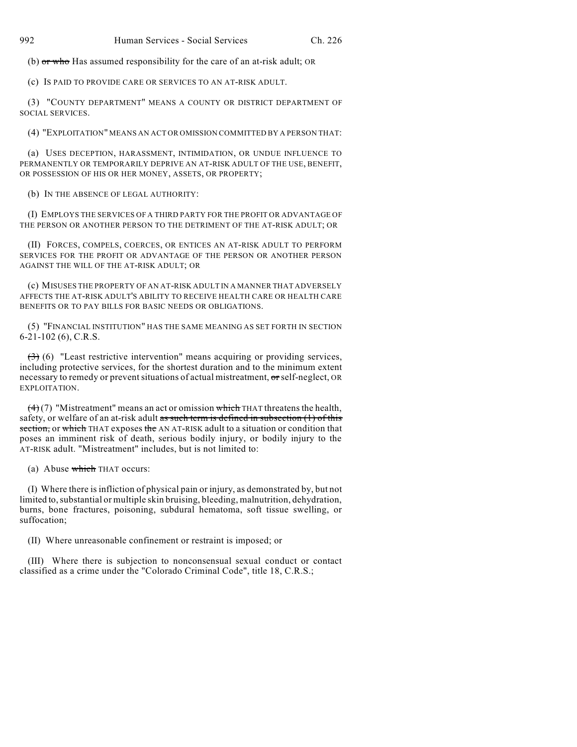(b) or who Has assumed responsibility for the care of an at-risk adult; OR

(c) IS PAID TO PROVIDE CARE OR SERVICES TO AN AT-RISK ADULT.

(3) "COUNTY DEPARTMENT" MEANS A COUNTY OR DISTRICT DEPARTMENT OF SOCIAL SERVICES.

(4) "EXPLOITATION" MEANS AN ACT OR OMISSION COMMITTED BY A PERSON THAT:

(a) USES DECEPTION, HARASSMENT, INTIMIDATION, OR UNDUE INFLUENCE TO PERMANENTLY OR TEMPORARILY DEPRIVE AN AT-RISK ADULT OF THE USE, BENEFIT, OR POSSESSION OF HIS OR HER MONEY, ASSETS, OR PROPERTY;

(b) IN THE ABSENCE OF LEGAL AUTHORITY:

(I) EMPLOYS THE SERVICES OF A THIRD PARTY FOR THE PROFIT OR ADVANTAGE OF THE PERSON OR ANOTHER PERSON TO THE DETRIMENT OF THE AT-RISK ADULT; OR

(II) FORCES, COMPELS, COERCES, OR ENTICES AN AT-RISK ADULT TO PERFORM SERVICES FOR THE PROFIT OR ADVANTAGE OF THE PERSON OR ANOTHER PERSON AGAINST THE WILL OF THE AT-RISK ADULT; OR

(c) MISUSES THE PROPERTY OF AN AT-RISK ADULT IN A MANNER THAT ADVERSELY AFFECTS THE AT-RISK ADULT'S ABILITY TO RECEIVE HEALTH CARE OR HEALTH CARE BENEFITS OR TO PAY BILLS FOR BASIC NEEDS OR OBLIGATIONS.

(5) "FINANCIAL INSTITUTION" HAS THE SAME MEANING AS SET FORTH IN SECTION 6-21-102 (6), C.R.S.

(3) (6) "Least restrictive intervention" means acquiring or providing services, including protective services, for the shortest duration and to the minimum extent necessary to remedy or preventsituations of actual mistreatment, or self-neglect, OR EXPLOITATION.

 $(4)$  (7) "Mistreatment" means an act or omission which THAT threatens the health, safety, or welfare of an at-risk adult as such term is defined in subsection (1) of this section, or which THAT exposes the AN AT-RISK adult to a situation or condition that poses an imminent risk of death, serious bodily injury, or bodily injury to the AT-RISK adult. "Mistreatment" includes, but is not limited to:

(a) Abuse which THAT occurs:

(I) Where there is infliction of physical pain or injury, as demonstrated by, but not limited to, substantial or multiple skin bruising, bleeding, malnutrition, dehydration, burns, bone fractures, poisoning, subdural hematoma, soft tissue swelling, or suffocation;

(II) Where unreasonable confinement or restraint is imposed; or

(III) Where there is subjection to nonconsensual sexual conduct or contact classified as a crime under the "Colorado Criminal Code", title 18, C.R.S.;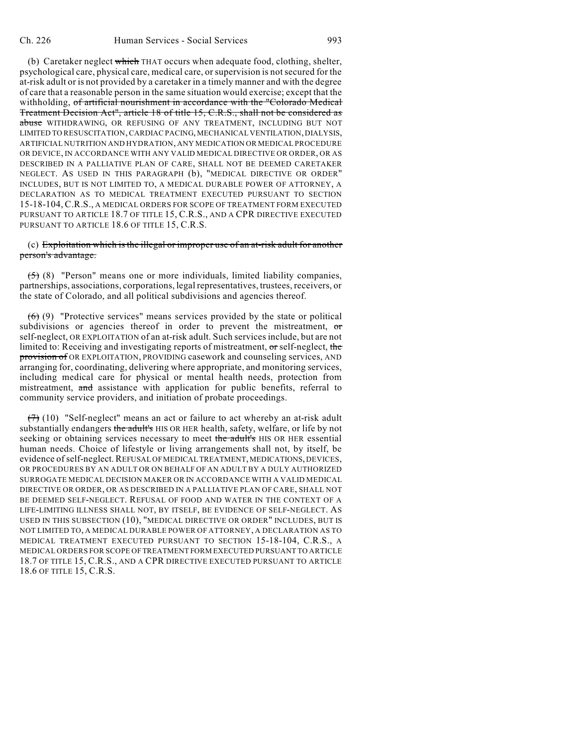(b) Caretaker neglect which THAT occurs when adequate food, clothing, shelter, psychological care, physical care, medical care, or supervision is notsecured for the at-risk adult or is not provided by a caretaker in a timely manner and with the degree of care that a reasonable person in the same situation would exercise; except that the withholding, of artificial nourishment in accordance with the "Colorado Medical Treatment Decision Act", article 18 of title 15, C.R.S., shall not be considered as abuse WITHDRAWING, OR REFUSING OF ANY TREATMENT, INCLUDING BUT NOT LIMITED TO RESUSCITATION, CARDIAC PACING, MECHANICAL VENTILATION, DIALYSIS, ARTIFICIAL NUTRITION AND HYDRATION, ANY MEDICATION OR MEDICAL PROCEDURE OR DEVICE, IN ACCORDANCE WITH ANY VALID MEDICAL DIRECTIVE OR ORDER, OR AS DESCRIBED IN A PALLIATIVE PLAN OF CARE, SHALL NOT BE DEEMED CARETAKER NEGLECT. AS USED IN THIS PARAGRAPH (b), "MEDICAL DIRECTIVE OR ORDER" INCLUDES, BUT IS NOT LIMITED TO, A MEDICAL DURABLE POWER OF ATTORNEY, A DECLARATION AS TO MEDICAL TREATMENT EXECUTED PURSUANT TO SECTION 15-18-104, C.R.S., A MEDICAL ORDERS FOR SCOPE OF TREATMENT FORM EXECUTED PURSUANT TO ARTICLE 18.7 OF TITLE 15, C.R.S., AND A CPR DIRECTIVE EXECUTED PURSUANT TO ARTICLE 18.6 OF TITLE 15, C.R.S.

(c) Exploitation which is the illegal or improper use of an at-risk adult for another person's advantage.

 $(5)$  (8) "Person" means one or more individuals, limited liability companies, partnerships, associations, corporations, legal representatives, trustees, receivers, or the state of Colorado, and all political subdivisions and agencies thereof.

 $(6)$  (9) "Protective services" means services provided by the state or political subdivisions or agencies thereof in order to prevent the mistreatment, or self-neglect, OR EXPLOITATION of an at-risk adult. Such services include, but are not limited to: Receiving and investigating reports of mistreatment, or self-neglect, the provision of OR EXPLOITATION, PROVIDING casework and counseling services, AND arranging for, coordinating, delivering where appropriate, and monitoring services, including medical care for physical or mental health needs, protection from mistreatment, and assistance with application for public benefits, referral to community service providers, and initiation of probate proceedings.

 $(7)$  (10) "Self-neglect" means an act or failure to act whereby an at-risk adult substantially endangers the adult's HIS OR HER health, safety, welfare, or life by not seeking or obtaining services necessary to meet the adult's HIS OR HER essential human needs. Choice of lifestyle or living arrangements shall not, by itself, be evidence of self-neglect. REFUSAL OF MEDICAL TREATMENT, MEDICATIONS, DEVICES, OR PROCEDURES BY AN ADULT OR ON BEHALF OF AN ADULT BY A DULY AUTHORIZED SURROGATE MEDICAL DECISION MAKER OR IN ACCORDANCE WITH A VALID MEDICAL DIRECTIVE OR ORDER, OR AS DESCRIBED IN A PALLIATIVE PLAN OF CARE, SHALL NOT BE DEEMED SELF-NEGLECT. REFUSAL OF FOOD AND WATER IN THE CONTEXT OF A LIFE-LIMITING ILLNESS SHALL NOT, BY ITSELF, BE EVIDENCE OF SELF-NEGLECT. AS USED IN THIS SUBSECTION (10), "MEDICAL DIRECTIVE OR ORDER" INCLUDES, BUT IS NOT LIMITED TO, A MEDICAL DURABLE POWER OF ATTORNEY, A DECLARATION AS TO MEDICAL TREATMENT EXECUTED PURSUANT TO SECTION 15-18-104, C.R.S., A MEDICAL ORDERS FOR SCOPE OFTREATMENT FORM EXECUTED PURSUANT TO ARTICLE 18.7 OF TITLE 15, C.R.S., AND A CPR DIRECTIVE EXECUTED PURSUANT TO ARTICLE 18.6 OF TITLE 15, C.R.S.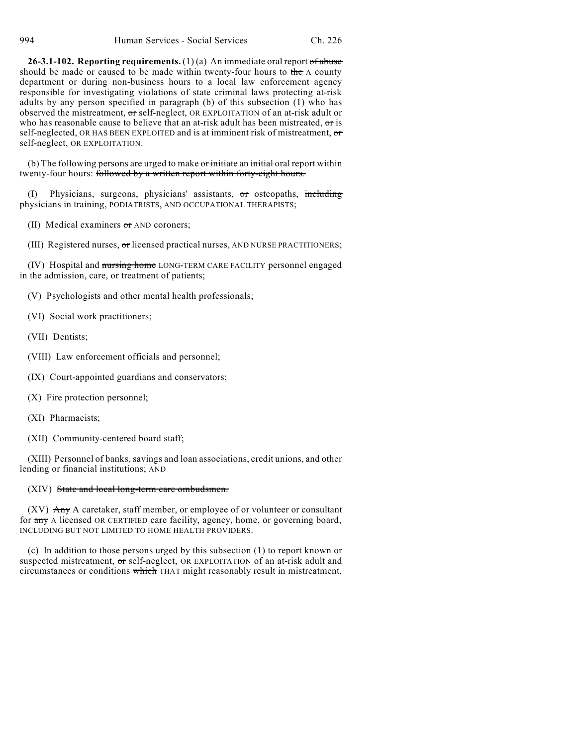**26-3.1-102. Reporting requirements.** (1) (a) An immediate oral report of abuse should be made or caused to be made within twenty-four hours to the  $A$  county department or during non-business hours to a local law enforcement agency responsible for investigating violations of state criminal laws protecting at-risk adults by any person specified in paragraph (b) of this subsection (1) who has observed the mistreatment, or self-neglect, OR EXPLOITATION of an at-risk adult or who has reasonable cause to believe that an at-risk adult has been mistreated, or is self-neglected, OR HAS BEEN EXPLOITED and is at imminent risk of mistreatment, or self-neglect, OR EXPLOITATION.

(b) The following persons are urged to make or initiate an initial oral report within twenty-four hours: followed by a written report within forty-eight hours.

Physicians, surgeons, physicians' assistants,  $\sigma$ r osteopaths, including physicians in training, PODIATRISTS, AND OCCUPATIONAL THERAPISTS;

(II) Medical examiners or AND coroners;

(III) Registered nurses, or licensed practical nurses, AND NURSE PRACTITIONERS;

(IV) Hospital and nursing home LONG-TERM CARE FACILITY personnel engaged in the admission, care, or treatment of patients;

(V) Psychologists and other mental health professionals;

(VI) Social work practitioners;

(VII) Dentists;

(VIII) Law enforcement officials and personnel;

(IX) Court-appointed guardians and conservators;

(X) Fire protection personnel;

(XI) Pharmacists;

(XII) Community-centered board staff;

(XIII) Personnel of banks, savings and loan associations, credit unions, and other lending or financial institutions; AND

#### (XIV) State and local long-term care ombudsmen.

 $(XV)$  Any A caretaker, staff member, or employee of or volunteer or consultant for any A licensed OR CERTIFIED care facility, agency, home, or governing board, INCLUDING BUT NOT LIMITED TO HOME HEALTH PROVIDERS.

(c) In addition to those persons urged by this subsection (1) to report known or suspected mistreatment, or self-neglect, OR EXPLOITATION of an at-risk adult and circumstances or conditions which THAT might reasonably result in mistreatment,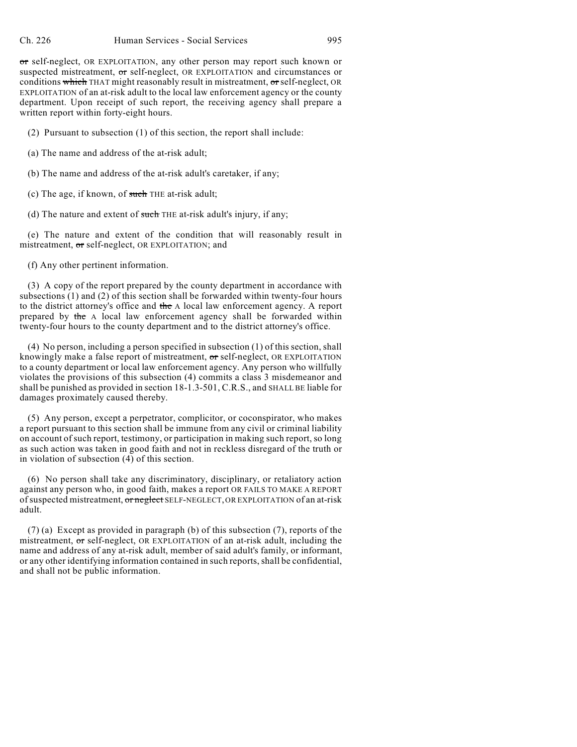or self-neglect, OR EXPLOITATION, any other person may report such known or suspected mistreatment, or self-neglect, OR EXPLOITATION and circumstances or conditions which THAT might reasonably result in mistreatment, or self-neglect, OR EXPLOITATION of an at-risk adult to the local law enforcement agency or the county department. Upon receipt of such report, the receiving agency shall prepare a written report within forty-eight hours.

(2) Pursuant to subsection (1) of this section, the report shall include:

(a) The name and address of the at-risk adult;

(b) The name and address of the at-risk adult's caretaker, if any;

(c) The age, if known, of such THE at-risk adult;

(d) The nature and extent of  $s$ uch THE at-risk adult's injury, if any;

(e) The nature and extent of the condition that will reasonably result in mistreatment, or self-neglect, OR EXPLOITATION; and

(f) Any other pertinent information.

(3) A copy of the report prepared by the county department in accordance with subsections (1) and (2) of this section shall be forwarded within twenty-four hours to the district attorney's office and the A local law enforcement agency. A report prepared by the A local law enforcement agency shall be forwarded within twenty-four hours to the county department and to the district attorney's office.

(4) No person, including a person specified in subsection (1) of this section, shall knowingly make a false report of mistreatment, or self-neglect, OR EXPLOITATION to a county department or local law enforcement agency. Any person who willfully violates the provisions of this subsection (4) commits a class 3 misdemeanor and shall be punished as provided in section 18-1.3-501, C.R.S., and SHALL BE liable for damages proximately caused thereby.

(5) Any person, except a perpetrator, complicitor, or coconspirator, who makes a report pursuant to this section shall be immune from any civil or criminal liability on account of such report, testimony, or participation in making such report, so long as such action was taken in good faith and not in reckless disregard of the truth or in violation of subsection (4) of this section.

(6) No person shall take any discriminatory, disciplinary, or retaliatory action against any person who, in good faith, makes a report OR FAILS TO MAKE A REPORT of suspected mistreatment, or neglect SELF-NEGLECT, OR EXPLOITATION of an at-risk adult.

(7) (a) Except as provided in paragraph (b) of this subsection (7), reports of the mistreatment, or self-neglect, OR EXPLOITATION of an at-risk adult, including the name and address of any at-risk adult, member of said adult's family, or informant, or any other identifying information contained in such reports, shall be confidential, and shall not be public information.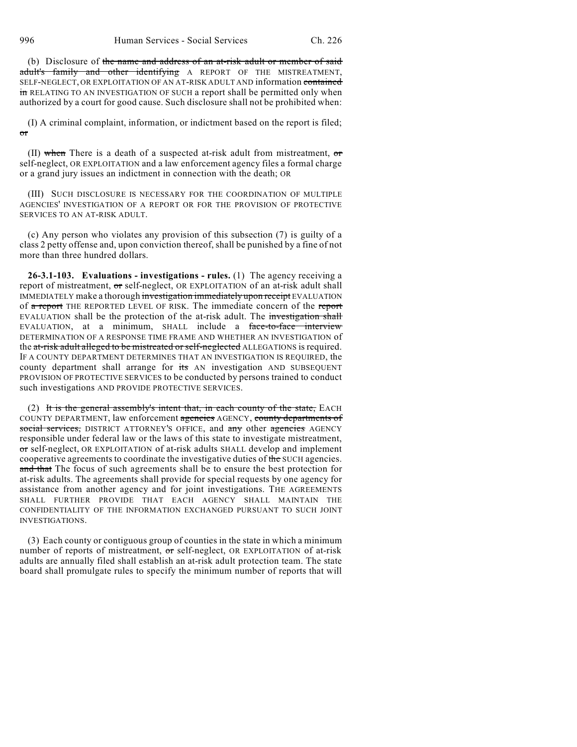(b) Disclosure of the name and address of an at-risk adult or member of said adult's family and other identifying A REPORT OF THE MISTREATMENT, SELF-NEGLECT, OR EXPLOITATION OF AN AT-RISK ADULT AND information contained in RELATING TO AN INVESTIGATION OF SUCH a report shall be permitted only when authorized by a court for good cause. Such disclosure shall not be prohibited when:

(I) A criminal complaint, information, or indictment based on the report is filed; or

(II) when There is a death of a suspected at-risk adult from mistreatment,  $\sigma$ r self-neglect, OR EXPLOITATION and a law enforcement agency files a formal charge or a grand jury issues an indictment in connection with the death; OR

(III) SUCH DISCLOSURE IS NECESSARY FOR THE COORDINATION OF MULTIPLE AGENCIES' INVESTIGATION OF A REPORT OR FOR THE PROVISION OF PROTECTIVE SERVICES TO AN AT-RISK ADULT.

(c) Any person who violates any provision of this subsection (7) is guilty of a class 2 petty offense and, upon conviction thereof, shall be punished by a fine of not more than three hundred dollars.

**26-3.1-103. Evaluations - investigations - rules.** (1) The agency receiving a report of mistreatment, or self-neglect, OR EXPLOITATION of an at-risk adult shall IMMEDIATELY make a thorough investigation immediately upon receipt EVALUATION of a report THE REPORTED LEVEL OF RISK. The immediate concern of the report EVALUATION shall be the protection of the at-risk adult. The investigation shall EVALUATION, at a minimum, SHALL include a face-to-face interview DETERMINATION OF A RESPONSE TIME FRAME AND WHETHER AN INVESTIGATION of the at-risk adult alleged to be mistreated or self-neglected ALLEGATIONS is required. IF A COUNTY DEPARTMENT DETERMINES THAT AN INVESTIGATION IS REQUIRED, the county department shall arrange for its AN investigation AND SUBSEQUENT PROVISION OF PROTECTIVE SERVICES to be conducted by persons trained to conduct such investigations AND PROVIDE PROTECTIVE SERVICES.

(2) It is the general assembly's intent that, in each county of the state,  $EACH$ COUNTY DEPARTMENT, law enforcement agencies AGENCY, county departments of social services, DISTRICT ATTORNEY'S OFFICE, and any other agencies AGENCY responsible under federal law or the laws of this state to investigate mistreatment, or self-neglect, OR EXPLOITATION of at-risk adults SHALL develop and implement cooperative agreements to coordinate the investigative duties of the SUCH agencies. and that The focus of such agreements shall be to ensure the best protection for at-risk adults. The agreements shall provide for special requests by one agency for assistance from another agency and for joint investigations. THE AGREEMENTS SHALL FURTHER PROVIDE THAT EACH AGENCY SHALL MAINTAIN THE CONFIDENTIALITY OF THE INFORMATION EXCHANGED PURSUANT TO SUCH JOINT INVESTIGATIONS.

(3) Each county or contiguous group of counties in the state in which a minimum number of reports of mistreatment, or self-neglect, OR EXPLOITATION of at-risk adults are annually filed shall establish an at-risk adult protection team. The state board shall promulgate rules to specify the minimum number of reports that will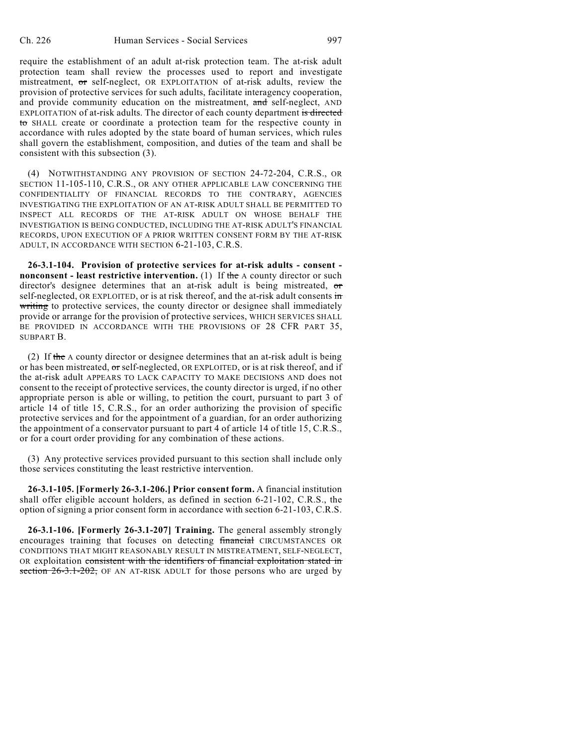require the establishment of an adult at-risk protection team. The at-risk adult protection team shall review the processes used to report and investigate mistreatment, or self-neglect, OR EXPLOITATION of at-risk adults, review the provision of protective services for such adults, facilitate interagency cooperation, and provide community education on the mistreatment, and self-neglect, AND EXPLOITATION of at-risk adults. The director of each county department is directed to SHALL create or coordinate a protection team for the respective county in accordance with rules adopted by the state board of human services, which rules shall govern the establishment, composition, and duties of the team and shall be consistent with this subsection (3).

(4) NOTWITHSTANDING ANY PROVISION OF SECTION 24-72-204, C.R.S., OR SECTION 11-105-110, C.R.S., OR ANY OTHER APPLICABLE LAW CONCERNING THE CONFIDENTIALITY OF FINANCIAL RECORDS TO THE CONTRARY, AGENCIES INVESTIGATING THE EXPLOITATION OF AN AT-RISK ADULT SHALL BE PERMITTED TO INSPECT ALL RECORDS OF THE AT-RISK ADULT ON WHOSE BEHALF THE INVESTIGATION IS BEING CONDUCTED, INCLUDING THE AT-RISK ADULT'S FINANCIAL RECORDS, UPON EXECUTION OF A PRIOR WRITTEN CONSENT FORM BY THE AT-RISK ADULT, IN ACCORDANCE WITH SECTION 6-21-103, C.R.S.

**26-3.1-104. Provision of protective services for at-risk adults - consent nonconsent - least restrictive intervention.** (1) If the A county director or such director's designee determines that an at-risk adult is being mistreated, or self-neglected, OR EXPLOITED, or is at risk thereof, and the at-risk adult consents in writing to protective services, the county director or designee shall immediately provide or arrange for the provision of protective services, WHICH SERVICES SHALL BE PROVIDED IN ACCORDANCE WITH THE PROVISIONS OF 28 CFR PART 35, SUBPART B.

(2) If the A county director or designee determines that an at-risk adult is being or has been mistreated, or self-neglected, OR EXPLOITED, or is at risk thereof, and if the at-risk adult APPEARS TO LACK CAPACITY TO MAKE DECISIONS AND does not consent to the receipt of protective services, the county director is urged, if no other appropriate person is able or willing, to petition the court, pursuant to part 3 of article 14 of title 15, C.R.S., for an order authorizing the provision of specific protective services and for the appointment of a guardian, for an order authorizing the appointment of a conservator pursuant to part 4 of article 14 of title 15, C.R.S., or for a court order providing for any combination of these actions.

(3) Any protective services provided pursuant to this section shall include only those services constituting the least restrictive intervention.

**26-3.1-105. [Formerly 26-3.1-206.] Prior consent form.** A financial institution shall offer eligible account holders, as defined in section 6-21-102, C.R.S., the option of signing a prior consent form in accordance with section 6-21-103, C.R.S.

**26-3.1-106. [Formerly 26-3.1-207] Training.** The general assembly strongly encourages training that focuses on detecting financial CIRCUMSTANCES OR CONDITIONS THAT MIGHT REASONABLY RESULT IN MISTREATMENT, SELF-NEGLECT, OR exploitation consistent with the identifiers of financial exploitation stated in section  $26-3.1-202$ , OF AN AT-RISK ADULT for those persons who are urged by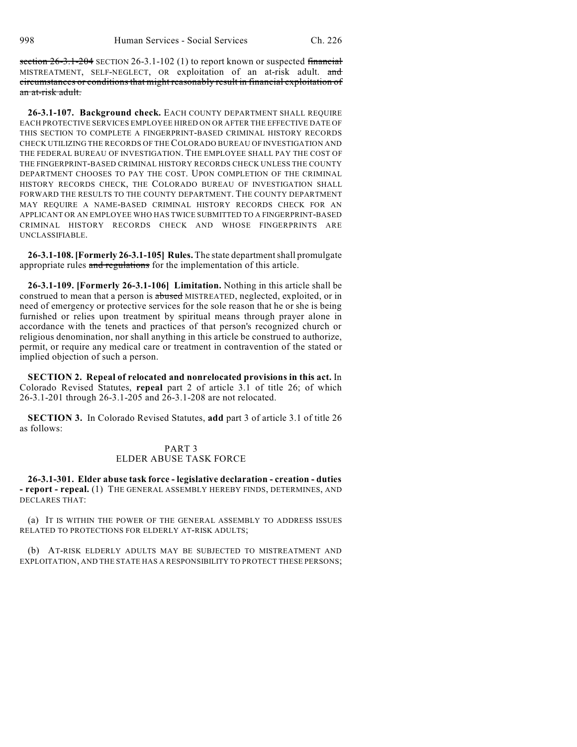section  $26-3.1-204$  SECTION 26-3.1-102 (1) to report known or suspected financial MISTREATMENT, SELF-NEGLECT, OR exploitation of an at-risk adult. and circumstances or conditions that might reasonably result in financial exploitation of an at-risk adult.

**26-3.1-107. Background check.** EACH COUNTY DEPARTMENT SHALL REQUIRE EACH PROTECTIVE SERVICES EMPLOYEE HIRED ON OR AFTER THE EFFECTIVE DATE OF THIS SECTION TO COMPLETE A FINGERPRINT-BASED CRIMINAL HISTORY RECORDS CHECK UTILIZING THE RECORDS OF THE COLORADO BUREAU OF INVESTIGATION AND THE FEDERAL BUREAU OF INVESTIGATION. THE EMPLOYEE SHALL PAY THE COST OF THE FINGERPRINT-BASED CRIMINAL HISTORY RECORDS CHECK UNLESS THE COUNTY DEPARTMENT CHOOSES TO PAY THE COST. UPON COMPLETION OF THE CRIMINAL HISTORY RECORDS CHECK, THE COLORADO BUREAU OF INVESTIGATION SHALL FORWARD THE RESULTS TO THE COUNTY DEPARTMENT. THE COUNTY DEPARTMENT MAY REQUIRE A NAME-BASED CRIMINAL HISTORY RECORDS CHECK FOR AN APPLICANT OR AN EMPLOYEE WHO HAS TWICE SUBMITTED TO A FINGERPRINT-BASED CRIMINAL HISTORY RECORDS CHECK AND WHOSE FINGERPRINTS ARE UNCLASSIFIABLE.

**26-3.1-108. [Formerly 26-3.1-105] Rules.** The state department shall promulgate appropriate rules and regulations for the implementation of this article.

**26-3.1-109. [Formerly 26-3.1-106] Limitation.** Nothing in this article shall be construed to mean that a person is abused MISTREATED, neglected, exploited, or in need of emergency or protective services for the sole reason that he or she is being furnished or relies upon treatment by spiritual means through prayer alone in accordance with the tenets and practices of that person's recognized church or religious denomination, nor shall anything in this article be construed to authorize, permit, or require any medical care or treatment in contravention of the stated or implied objection of such a person.

**SECTION 2. Repeal of relocated and nonrelocated provisions in this act.** In Colorado Revised Statutes, **repeal** part 2 of article 3.1 of title 26; of which 26-3.1-201 through 26-3.1-205 and 26-3.1-208 are not relocated.

**SECTION 3.** In Colorado Revised Statutes, **add** part 3 of article 3.1 of title 26 as follows:

#### PART 3 ELDER ABUSE TASK FORCE

**26-3.1-301. Elder abuse task force - legislative declaration - creation - duties - report - repeal.** (1) THE GENERAL ASSEMBLY HEREBY FINDS, DETERMINES, AND DECLARES THAT:

(a) IT IS WITHIN THE POWER OF THE GENERAL ASSEMBLY TO ADDRESS ISSUES RELATED TO PROTECTIONS FOR ELDERLY AT-RISK ADULTS;

(b) AT-RISK ELDERLY ADULTS MAY BE SUBJECTED TO MISTREATMENT AND EXPLOITATION, AND THE STATE HAS A RESPONSIBILITY TO PROTECT THESE PERSONS;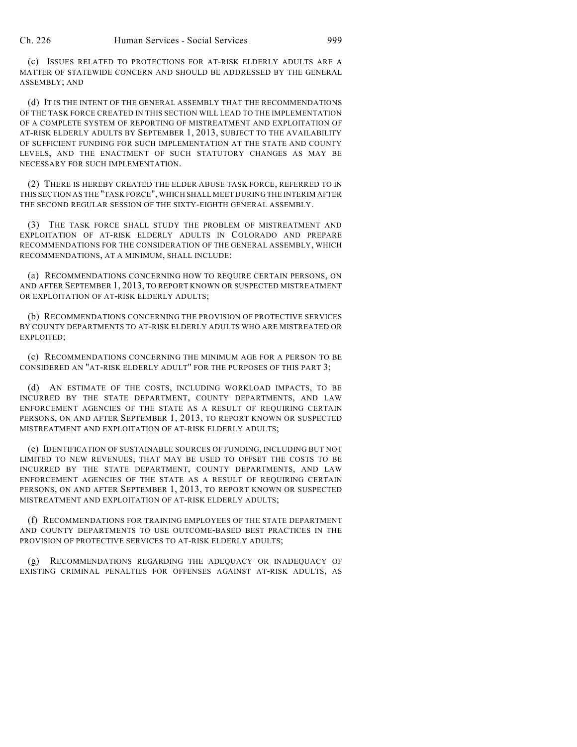(c) ISSUES RELATED TO PROTECTIONS FOR AT-RISK ELDERLY ADULTS ARE A MATTER OF STATEWIDE CONCERN AND SHOULD BE ADDRESSED BY THE GENERAL ASSEMBLY; AND

(d) IT IS THE INTENT OF THE GENERAL ASSEMBLY THAT THE RECOMMENDATIONS OF THE TASK FORCE CREATED IN THIS SECTION WILL LEAD TO THE IMPLEMENTATION OF A COMPLETE SYSTEM OF REPORTING OF MISTREATMENT AND EXPLOITATION OF AT-RISK ELDERLY ADULTS BY SEPTEMBER 1, 2013, SUBJECT TO THE AVAILABILITY OF SUFFICIENT FUNDING FOR SUCH IMPLEMENTATION AT THE STATE AND COUNTY LEVELS, AND THE ENACTMENT OF SUCH STATUTORY CHANGES AS MAY BE NECESSARY FOR SUCH IMPLEMENTATION.

(2) THERE IS HEREBY CREATED THE ELDER ABUSE TASK FORCE, REFERRED TO IN THIS SECTION AS THE "TASK FORCE", WHICH SHALL MEET DURING THE INTERIM AFTER THE SECOND REGULAR SESSION OF THE SIXTY-EIGHTH GENERAL ASSEMBLY.

(3) THE TASK FORCE SHALL STUDY THE PROBLEM OF MISTREATMENT AND EXPLOITATION OF AT-RISK ELDERLY ADULTS IN COLORADO AND PREPARE RECOMMENDATIONS FOR THE CONSIDERATION OF THE GENERAL ASSEMBLY, WHICH RECOMMENDATIONS, AT A MINIMUM, SHALL INCLUDE:

(a) RECOMMENDATIONS CONCERNING HOW TO REQUIRE CERTAIN PERSONS, ON AND AFTER SEPTEMBER 1, 2013, TO REPORT KNOWN OR SUSPECTED MISTREATMENT OR EXPLOITATION OF AT-RISK ELDERLY ADULTS;

(b) RECOMMENDATIONS CONCERNING THE PROVISION OF PROTECTIVE SERVICES BY COUNTY DEPARTMENTS TO AT-RISK ELDERLY ADULTS WHO ARE MISTREATED OR EXPLOITED;

(c) RECOMMENDATIONS CONCERNING THE MINIMUM AGE FOR A PERSON TO BE CONSIDERED AN "AT-RISK ELDERLY ADULT" FOR THE PURPOSES OF THIS PART 3;

(d) AN ESTIMATE OF THE COSTS, INCLUDING WORKLOAD IMPACTS, TO BE INCURRED BY THE STATE DEPARTMENT, COUNTY DEPARTMENTS, AND LAW ENFORCEMENT AGENCIES OF THE STATE AS A RESULT OF REQUIRING CERTAIN PERSONS, ON AND AFTER SEPTEMBER 1, 2013, TO REPORT KNOWN OR SUSPECTED MISTREATMENT AND EXPLOITATION OF AT-RISK ELDERLY ADULTS;

(e) IDENTIFICATION OF SUSTAINABLE SOURCES OF FUNDING, INCLUDING BUT NOT LIMITED TO NEW REVENUES, THAT MAY BE USED TO OFFSET THE COSTS TO BE INCURRED BY THE STATE DEPARTMENT, COUNTY DEPARTMENTS, AND LAW ENFORCEMENT AGENCIES OF THE STATE AS A RESULT OF REQUIRING CERTAIN PERSONS, ON AND AFTER SEPTEMBER 1, 2013, TO REPORT KNOWN OR SUSPECTED MISTREATMENT AND EXPLOITATION OF AT-RISK ELDERLY ADULTS;

(f) RECOMMENDATIONS FOR TRAINING EMPLOYEES OF THE STATE DEPARTMENT AND COUNTY DEPARTMENTS TO USE OUTCOME-BASED BEST PRACTICES IN THE PROVISION OF PROTECTIVE SERVICES TO AT-RISK ELDERLY ADULTS;

(g) RECOMMENDATIONS REGARDING THE ADEQUACY OR INADEQUACY OF EXISTING CRIMINAL PENALTIES FOR OFFENSES AGAINST AT-RISK ADULTS, AS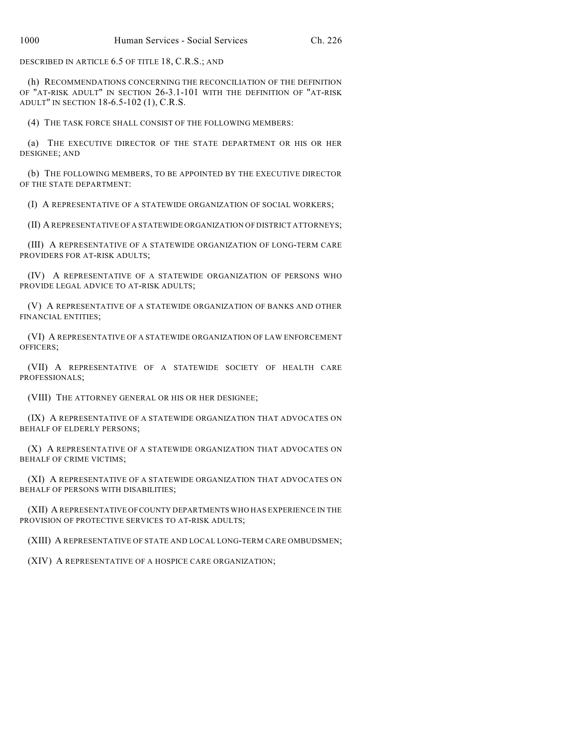DESCRIBED IN ARTICLE 6.5 OF TITLE 18, C.R.S.; AND

(h) RECOMMENDATIONS CONCERNING THE RECONCILIATION OF THE DEFINITION OF "AT-RISK ADULT" IN SECTION 26-3.1-101 WITH THE DEFINITION OF "AT-RISK ADULT" IN SECTION 18-6.5-102 (1), C.R.S.

(4) THE TASK FORCE SHALL CONSIST OF THE FOLLOWING MEMBERS:

(a) THE EXECUTIVE DIRECTOR OF THE STATE DEPARTMENT OR HIS OR HER DESIGNEE; AND

(b) THE FOLLOWING MEMBERS, TO BE APPOINTED BY THE EXECUTIVE DIRECTOR OF THE STATE DEPARTMENT:

(I) A REPRESENTATIVE OF A STATEWIDE ORGANIZATION OF SOCIAL WORKERS;

(II) A REPRESENTATIVE OF A STATEWIDE ORGANIZATION OF DISTRICT ATTORNEYS;

(III) A REPRESENTATIVE OF A STATEWIDE ORGANIZATION OF LONG-TERM CARE PROVIDERS FOR AT-RISK ADULTS;

(IV) A REPRESENTATIVE OF A STATEWIDE ORGANIZATION OF PERSONS WHO PROVIDE LEGAL ADVICE TO AT-RISK ADULTS;

(V) A REPRESENTATIVE OF A STATEWIDE ORGANIZATION OF BANKS AND OTHER FINANCIAL ENTITIES;

(VI) A REPRESENTATIVE OF A STATEWIDE ORGANIZATION OF LAW ENFORCEMENT OFFICERS;

(VII) A REPRESENTATIVE OF A STATEWIDE SOCIETY OF HEALTH CARE PROFESSIONALS;

(VIII) THE ATTORNEY GENERAL OR HIS OR HER DESIGNEE;

(IX) A REPRESENTATIVE OF A STATEWIDE ORGANIZATION THAT ADVOCATES ON BEHALF OF ELDERLY PERSONS;

(X) A REPRESENTATIVE OF A STATEWIDE ORGANIZATION THAT ADVOCATES ON BEHALF OF CRIME VICTIMS;

(XI) A REPRESENTATIVE OF A STATEWIDE ORGANIZATION THAT ADVOCATES ON BEHALF OF PERSONS WITH DISABILITIES;

(XII) A REPRESENTATIVE OFCOUNTY DEPARTMENTS WHO HAS EXPERIENCE IN THE PROVISION OF PROTECTIVE SERVICES TO AT-RISK ADULTS;

(XIII) A REPRESENTATIVE OF STATE AND LOCAL LONG-TERM CARE OMBUDSMEN;

(XIV) A REPRESENTATIVE OF A HOSPICE CARE ORGANIZATION;